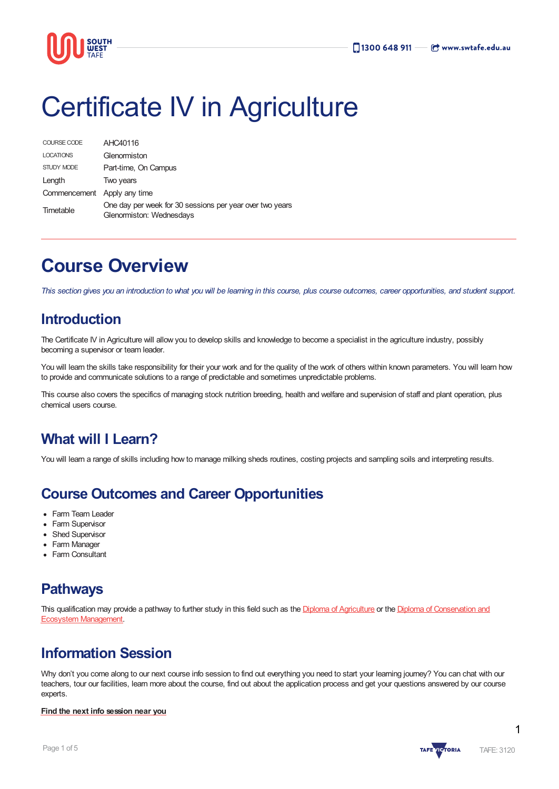

# Certificate IV in Agriculture

| COURSE CODE                 | AHC40116                                                                             |
|-----------------------------|--------------------------------------------------------------------------------------|
| <b>LOCATIONS</b>            | Glenormiston                                                                         |
| STUDY MODE                  | Part-time, On Campus                                                                 |
| Length                      | Two years                                                                            |
| Commencement Apply any time |                                                                                      |
| Timetable                   | One day per week for 30 sessions per year over two years<br>Glenormiston: Wednesdays |

# **Course Overview**

This section gives you an introduction to what you will be learning in this course, plus course outcomes, career opportunities, and student support.

# **Introduction**

The Certificate IV in Agriculture will allow you to develop skills and knowledge to become a specialist in the agriculture industry, possibly becoming a supervisor or team leader.

You will learn the skills take responsibility for their your work and for the quality of the work of others within known parameters. You will learn how to provide and communicate solutions to a range of predictable and sometimes unpredictable problems.

This course also covers the specifics of managing stock nutrition breeding, health and welfare and supervision of staff and plant operation, plus chemical users course.

# **What will I Learn?**

You will learn a range of skills including how to manage milking sheds routines, costing projects and sampling soils and interpreting results.

# **Course Outcomes and Career Opportunities**

- Farm Team Leader
- Farm Supervisor
- Shed Supervisor
- Farm Manager
- Farm Consultant

# **Pathways**

This qualification may provide a pathway to further study in this field such as the Diploma of [Agriculture](https://www.swtafe.edu.au/courses/agriculture-conservation-horticulture/diploma-of-agriculture) or the Diploma of [Conservation](https://www.swtafe.edu.au/courses/agriculture-conservation-horticulture/diploma-of-conservation-and-ecosystem-management) and Ecosystem Management.

# **Information Session**

Why don't you come along to our next course info session to find out everything you need to start your learning journey? You can chat with our teachers, tour our facilities, learn more about the course, find out about the application process and get your questions answered by our course experts.

#### **Find the next info [session](https://www.swtafe.edu.au/information-sessions) near you**

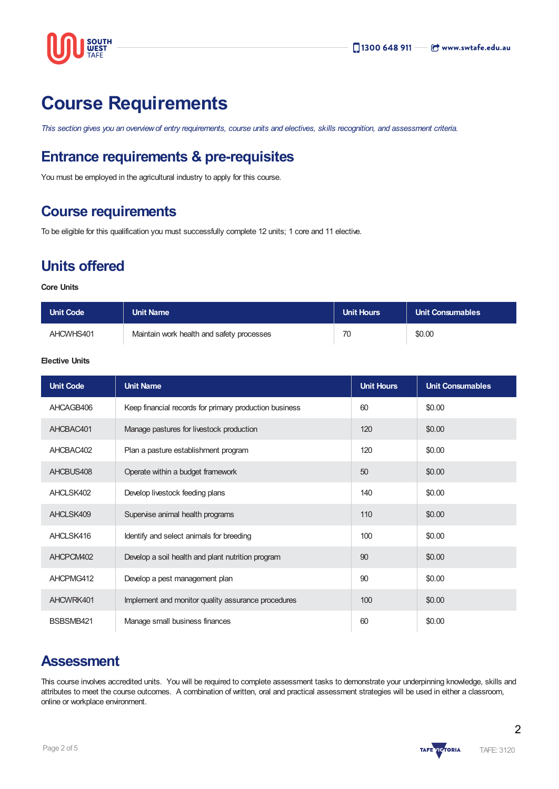

# **Course Requirements**

This section gives you an overview of entry requirements, course units and electives, skills recognition, and assessment criteria.

# **Entrance requirements & pre-requisites**

You must be employed in the agricultural industry to apply for this course.

# **Course requirements**

To be eligible for this qualification you must successfully complete 12 units; 1 core and 11 elective.

# **Units offered**

#### **Core Units**

| Unit Code | Unit Name                                 | <b>Unit Hours</b> | <b>Unit Consumables</b> |
|-----------|-------------------------------------------|-------------------|-------------------------|
| AHCWHS401 | Maintain work health and safety processes | 70                | \$0.00                  |

#### **Elective Units**

| <b>Unit Code</b> | <b>Unit Name</b>                                       | <b>Unit Hours</b> | <b>Unit Consumables</b> |
|------------------|--------------------------------------------------------|-------------------|-------------------------|
| AHCAGB406        | Keep financial records for primary production business | 60                | \$0.00                  |
| AHCBAC401        | Manage pastures for livestock production               | 120               | \$0.00                  |
| AHCBAC402        | Plan a pasture establishment program                   | 120               | \$0.00                  |
| AHCBUS408        | Operate within a budget framework                      | 50                | \$0.00                  |
| AHCLSK402        | Develop livestock feeding plans                        | 140               | \$0.00                  |
| AHCLSK409        | Supervise animal health programs                       | 110               | \$0.00                  |
| AHCLSK416        | Identify and select animals for breeding               | 100               | \$0.00                  |
| AHCPCM402        | Develop a soil health and plant nutrition program      | 90                | \$0.00                  |
| AHCPMG412        | Develop a pest management plan                         | 90                | \$0.00                  |
| AHCWRK401        | Implement and monitor quality assurance procedures     | 100               | \$0.00                  |
| BSBSMB421        | Manage small business finances                         | 60                | \$0.00                  |

### **Assessment**

This course involves accredited units. You will be required to complete assessment tasks to demonstrate your underpinning knowledge, skills and attributes to meet the course outcomes. A combination of written, oral and practical assessment strategies will be used in either a classroom, online or workplace environment.

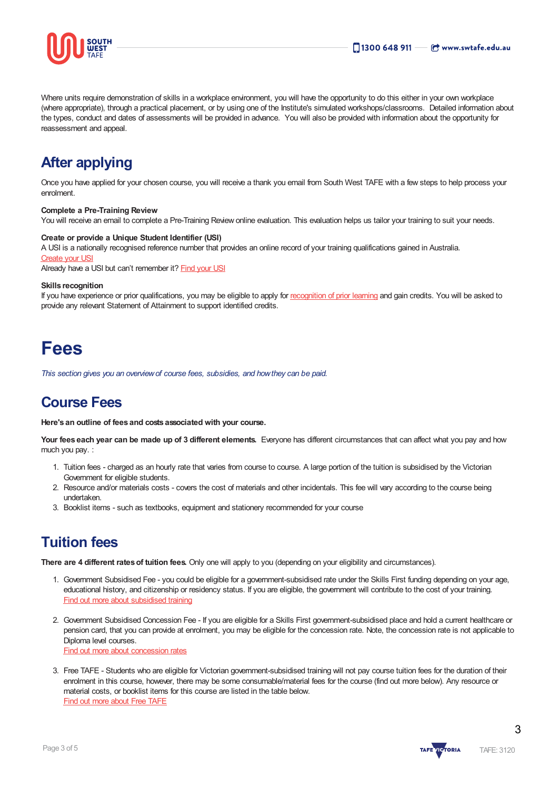

Where units require demonstration of skills in a workplace environment, you will have the opportunity to do this either in your own workplace (where appropriate), through a practical placement, or by using one of the Institute's simulated workshops/classrooms. Detailed information about the types, conduct and dates of assessments will be provided in advance. You will also be provided with information about the opportunity for reassessment and appeal.

# **After applying**

Once you have applied for your chosen course, you will receive a thank you email from South West TAFE with a few steps to help process your enrolment.

#### **Complete a Pre-Training Review**

You will receive an email to complete a Pre-Training Review online evaluation. This evaluation helps us tailor your training to suit your needs.

#### **Create or provide a Unique Student Identifier (USI)**

A USI is a nationally recognised reference number that provides an online record of your training qualifications gained in Australia. [Create](https://www.usi.gov.au/students/create-usi) your USI

Already have a USI but can't remember it? [Find](https://www.usi.gov.au/faqs/i-have-forgotten-my-usi) your USI

#### **Skills recognition**

If you have experience or prior qualifications, you may be eligible to apply for [recognition](https://www.swtafe.edu.au/study/how-to-apply/skills-recognition) of prior learning and gain credits. You will be asked to provide any relevant Statement of Attainment to support identified credits.

# **Fees**

*This section gives you an overviewof course fees, subsidies, and howthey can be paid.*

# **Course Fees**

**Here's an outline of fees and costs associated with your course.**

**Your fees each year can be made up of 3 different elements.** Everyone has different circumstances that can affect what you pay and how much you pay. :

- 1. Tuition fees charged as an hourly rate that varies from course to course. A large portion of the tuition is subsidised by the Victorian Government for eligible students.
- 2. Resource and/or materials costs covers the cost of materials and other incidentals. This fee will vary according to the course being undertaken.
- 3. Booklist items such as textbooks, equipment and stationery recommended for your course

# **Tuition fees**

**There are 4 different ratesof tuition fees.** Only one will apply to you (depending on your eligibility and circumstances).

- 1. Government Subsidised Fee you could be eligible for a government-subsidised rate under the Skills First funding depending on your age, educational history, and citizenship or residency status. If you are eligible, the government will contribute to the cost of your training. Find out more about [subsidised](https://www.swtafe.edu.au/study/fees-free-tafe/access-govt-subsidies/victorian-students) training
- 2. Government Subsidised Concession Fee If you are eligible for a Skills First government-subsidised place and hold a current healthcare or pension card, that you can provide at enrolment, you may be eligible for the concession rate. Note, the concession rate is not applicable to Diploma level courses. Find out more about [concession](https://www.swtafe.edu.au/study/fees-free-tafe/concession) rates
- 3. Free TAFE Students who are eligible for Victorian government-subsidised training will not pay course tuition fees for the duration of their enrolment in this course, however, there may be some consumable/material fees for the course (find out more below). Any resource or material costs, or booklist items for this course are listed in the table below. Find out more [about](https://www.swtafe.edu.au/courses/free-tafe-courses) Free TAFE

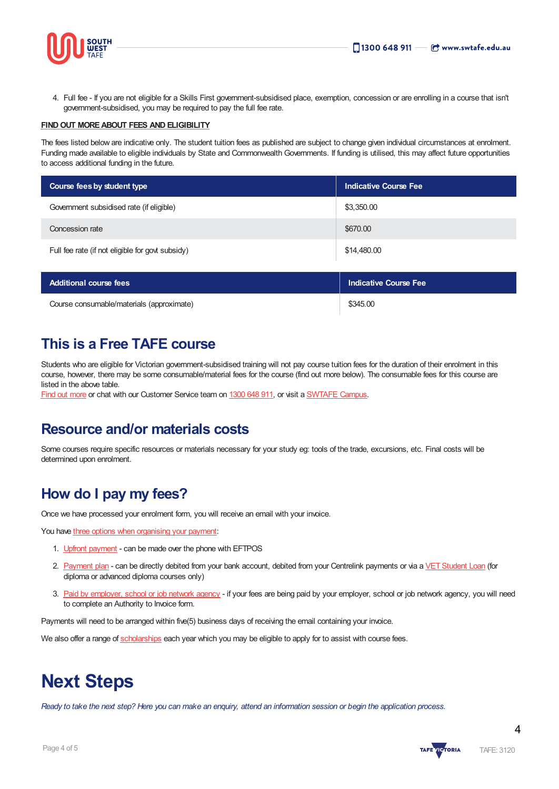



4. Full fee - If you are not eligible for a Skills First government-subsidised place, exemption, concession or are enrolling in a course that isn't government-subsidised, you may be required to pay the full fee rate.

#### **FINDOUT [MOREABOUT](https://www.swtafe.edu.au/study/fees-free-tafe) FEES AND ELIGIBILITY**

The fees listed below are indicative only. The student tuition fees as published are subject to change given individual circumstances at enrolment. Funding made available to eligible individuals by State and Commonwealth Governments. If funding is utilised, this may affect future opportunities to access additional funding in the future.

| Course fees by student type                      | <b>Indicative Course Fee</b> |  |
|--------------------------------------------------|------------------------------|--|
| Government subsidised rate (if eligible)         | \$3,350.00                   |  |
| Concession rate                                  | \$670.00                     |  |
| Full fee rate (if not eligible for govt subsidy) | \$14,480.00                  |  |
|                                                  |                              |  |

| <b>Additional course fees</b>             | Indicative Course Fee |  |
|-------------------------------------------|-----------------------|--|
| Course consumable/materials (approximate) | \$345.00              |  |

# **This is a Free TAFE course**

Students who are eligible for Victorian government-subsidised training will not pay course tuition fees for the duration of their enrolment in this course, however, there may be some consumable/material fees for the course (find out more below). The consumable fees for this course are listed in the above table.

Find out [more](https://www.swtafe.edu.au/courses/free-tafe-courses) or chat with our Customer Service team on [1300](https://www.swtafe.edu.au/about-us/contact-us) 648 911, or visit a [SWTAFE](https://www.swtafe.edu.au/about-us/contact-us) Campus.

### **Resource and/or materials costs**

Some courses require specific resources or materials necessary for your study eg: tools of the trade, excursions, etc. Final costs will be determined upon enrolment.

### **How do I pay my fees?**

Once we have processed your enrolment form, you will receive an email with your invoice.

You have three options when [organising](https://www.swtafe.edu.au/study/fees-free-tafe/payment-options) your payment:

- 1. Upfront [payment](https://www.swtafe.edu.au/study/fees-free-tafe/payment-options) can be made over the phone with EFTPOS
- 2. [Payment](https://www.swtafe.edu.au/study/fees-free-tafe/payment-options) plan can be directly debited from your bank account, debited from your Centrelink payments or via a VET Student Loan (for diploma or advanced diploma courses only)
- 3. Paid by [employer,](https://www.swtafe.edu.au/study/fees-free-tafe/payment-options) school or job network agency if your fees are being paid by your employer, school or job network agency, you will need to complete an Authority to Invoice form.

Payments will need to be arranged within five(5) business days of receiving the email containing your invoice.

We also offer a range of [scholarships](https://www.swtafe.edu.au/study/scholarships) each year which you may be eligible to apply for to assist with course fees.

# **Next Steps**

Ready to take the next step? Here you can make an enquiry, attend an information session or begin the application process.